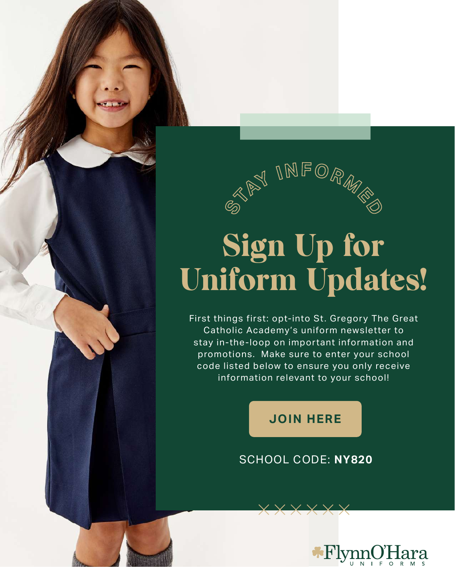

## Sign Up for Uniform Updates!

First things first: opt-into St. Gregory The Great Catholic Academy's uniform newsletter to stay in-the-loop on important information and promotions. Make sure to enter your school code listed below to ensure you only receive information relevant to your school!

## **[JOIN HERE](https://flynnohara.com/join-our-email-list/)**

## SCHOOL CODE: **NY820**